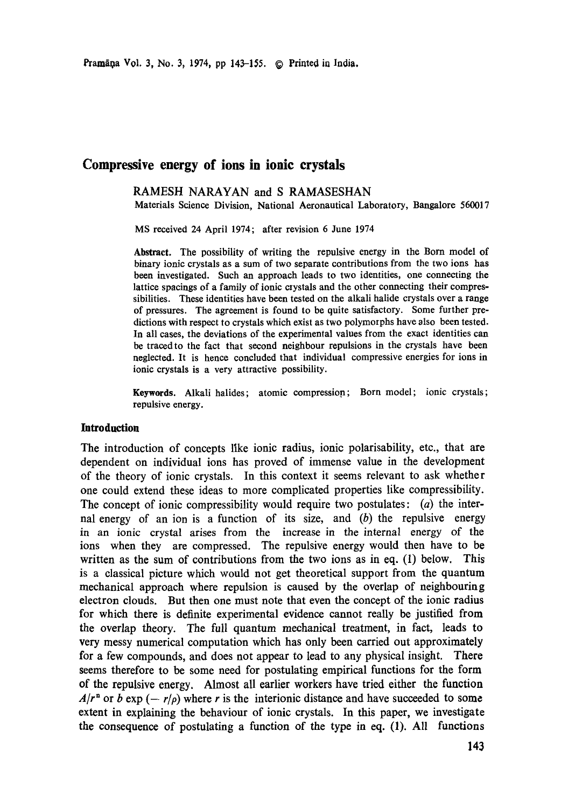# **Compressive energy of ions in ionic crystals**

### RAMESH NARAYAN and S RAMASESHAN Materials Science Division, National Aeronautical Laboratory, Bangalore 560017

MS received 24 April 1974; after revision 6 June 1974

**Abstract.** The possibility of writing the repulsive energy in the Born model of binary ionic crystals as a sum of two separate contributions from the two ions has been investigated. Such an approach leads to two identities, one connecting the lattice spacings of a family of ionic crystals and the other connecting their compressibilities. These identities have been tested on the alkali halide crystals over a range of pressures. The agreement is found to be quite satisfactory. Some further predictions with respect to crystals which exist as two polymorphs have also been tested. In all cases, the deviations of the experimental values from the exact identities can be traced to the fact that second neighbour repulsions in the crystals have been neglected. It is hence concluded that individual compressive energies for ions in ionic crystals is a very attractive possibility.

Keywords. Alkali halides; atomic compression; Born model; ionic crystals; repulsive energy.

# **Introduction**

The introduction of concepts like ionic radius, ionic polarisability, etc., that are dependent on individual ions has proved of immense value in the development of the theory of ionic crystals. In this context it seems relevant to ask whether one could extend these ideas to more complicated properties like compressibility. The concept of ionic compressibility would require two postulates:  $(a)$  the internal energy of an ion is a function of its size, and  $(b)$  the repulsive energy in an ionic crystal arises from the increase in the internal energy of the ions when they are compressed. The repulsive energy would then have to be written as the sum of contributions from the two ions as in eq. (1) below. This is a classical picture which would not get theoretical support from the quantum mechanical approach where repulsion is caused by the overlap of neighbouring electron clouds. But then one must note that even the concept of the ionic radius for which there is definite experimental evidence cannot really be justified from the overlap theory. The full quantum mechanical treatment, in fact, leads to very messy numerical computation which has only been carried out approximately for a few compounds, and does not appear to lead to any physical insight. There seems therefore to be some need for postulating empirical functions for the form of the repulsive energy. Almost all earlier workers have tried either the function  $A/r^n$  or b exp (-  $r/\rho$ ) where r is the interionic distance and have succeeded to some extent in explaining the behaviour of ionic crystals. In this paper, we investigate the consequence of postulating a function of the type in eq. (1). All functions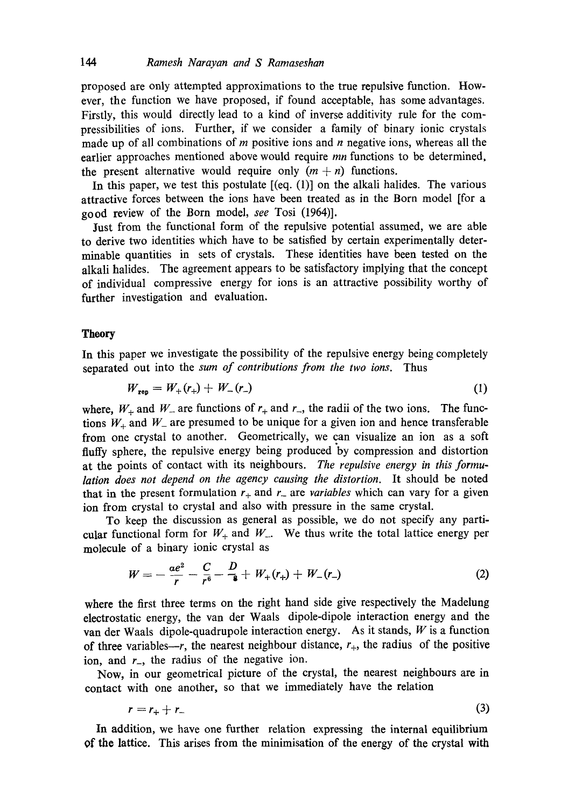proposed are only attempted approximations to the true repulsive function. However, the function we have proposed, if found acceptable, has some advantages. Firstly, this would directly lead to a kind of inverse additivity rule for the compressibilities of ions. Further, if we consider a family of binary ionic crystals made up of all combinations of  $m$  positive ions and  $n$  negative ions, whereas all the earlier approaches mentioned above would require *mn* functions to be determined, the present alternative would require only  $(m + n)$  functions.

In this paper, we test this postulate  $[(eq. (1)]$  on the alkali halides. The various attractive forces between the ions have been treated as in the Born model [for a good review of the Born model, *see* Tosi (1964)].

Just from the functional form of the repulsive potential assumed, we are able to derive two identities which have to be satisfied by certain experimentally determinable quantities in sets of crystals. These identities have been tested on the alkali halides. The agreement appears to be satisfactory implying that the concept of individual compressive energy for ions is an attractive possibility worthy of further investigation and evaluation.

#### **Theory**

In this paper we investigate the possibility of the repulsive energy being completely separated out into the *sum of contributions from the two ions.* Thus

$$
W_{\text{rep}} = W_{+}(r_{+}) + W_{-}(r_{-}) \tag{1}
$$

where,  $W_+$  and  $W_-$  are functions of  $r_+$  and  $r_-,$  the radii of the two ions. The functions  $W_+$  and  $W_-$  are presumed to be unique for a given ion and hence transferable from one crystal to another. Geometrically, we can visualize an ion as a soft fluffy sphere, the repulsive energy being produced by compression and distortion at the points of contact with its neighbours. *The repulsive energy in this formulation does not depend on the agency causing the distortion.* It should be noted that in the present formulation  $r_+$  and  $r_-$  are *variables* which can vary for a given ion from crystal to crystal and also with pressure in the same crystal.

To keep the discussion as general as possible, we do not specify any particular functional form for  $W_+$  and  $W_+$ . We thus write the total lattice energy per molecule of a binary ionic crystal as

$$
W = -\frac{ae^2}{r} - \frac{C}{r^6} - \frac{D}{\epsilon} + W_+(r_+) + W_-(r_-)
$$
 (2)

where the first three terms on the right hand side give respectively the Madelung electrostatic energy, the van der Waals dipole-dipole interaction energy and the van der Waals dipole-quadrupole interaction energy. As it stands,  $W$  is a function of three variables--r, the nearest neighbour distance,  $r_{+}$ , the radius of the positive ion, and  $r_$ , the radius of the negative ion.

Now, in our geometrical picture of the crystal, the nearest neighbours are in contact with one another, so that we immediately have the relation

$$
r = r_+ + r_- \tag{3}
$$

In addition, we have one further relation expressing the internal equilibrium of the lattice. This arises from the minimisation of the energy of the crystal with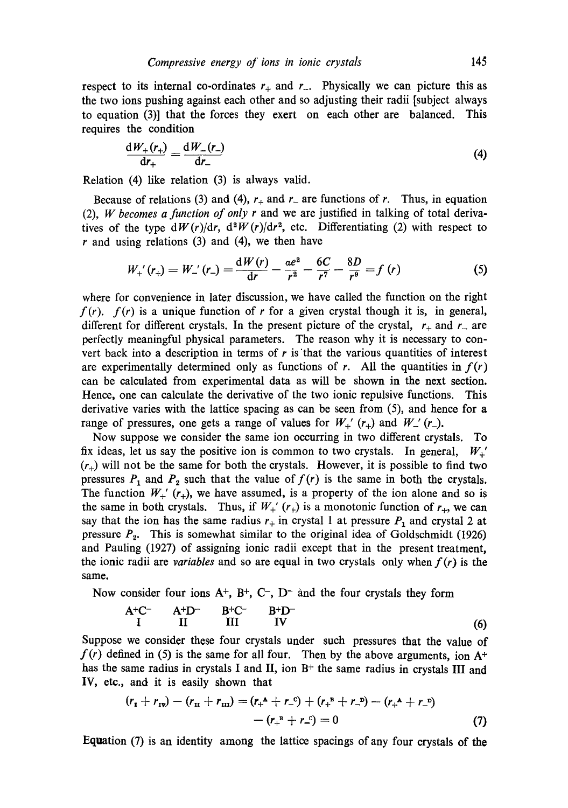respect to its internal co-ordinates  $r_+$  and  $r_-$ . Physically we can picture this as the two ions pushing against each other and so adjusting their radii [subject always to equation (3)] that the forces they exert on each other are balanced. This requires the condition

$$
\frac{dW_{+}(r_{+})}{dr_{+}} = \frac{dW_{-}(r_{-})}{dr_{-}}
$$
\n(4)

Relation (4) like relation (3) is always valid.

Because of relations (3) and (4),  $r_+$  and  $r_-$  are functions of r. Thus, in equation (2), *W becomes a function of only r* and we are justified in talking of total derivatives of the type  $dW(r)/dr$ ,  $d^2W(r)/dr^2$ , etc. Differentiating (2) with respect to  $r$  and using relations (3) and (4), we then have

$$
W_{+}'(r_{+}) = W_{-}'(r_{-}) = \frac{\mathrm{d}W(r)}{\mathrm{d}r} - \frac{ae^{2}}{r^{2}} - \frac{6C}{r^{7}} - \frac{8D}{r^{9}} = f(r)
$$
(5)

where for convenience in later discussion, we have called the function on the right  $f(r)$ .  $f(r)$  is a unique function of r for a given crystal though it is, in general, different for different crystals. In the present picture of the crystal,  $r_{+}$  and  $r_{-}$  are perfectly meaningful physical parameters. The reason why it is necessary to convert back into a description in terms of  $r$  is that the various quantities of interest are experimentally determined only as functions of r. All the quantities in  $f(r)$ can be calculated from experimental data as will be shown in the next section. Hence, one can calculate the derivative of the two ionic repulsive functions. This derivative varies with the lattice spacing as can be seen from (5), and hence for a range of pressures, one gets a range of values for  $W_{+}$ <sup>'</sup> ( $r_{+}$ ) and  $W_{-}$ ' ( $r_{-}$ ).

Now suppose we consider the same ion occurring in two different crystals. To fix ideas, let us say the positive ion is common to two crystals. In general,  $W_{+}'$  $(r_{+})$  will not be the same for both the crystals. However, it is possible to find two pressures  $P_1$  and  $P_2$  such that the value of  $f(r)$  is the same in both the crystals. The function  $W_+^{\prime}$  ( $r_+$ ), we have assumed, is a property of the ion alone and so is the same in both crystals. Thus, if  $W_+^{\prime}(r_+)$  is a monotonic function of  $r_+$ , we can say that the ion has the same radius  $r_+$  in crystal 1 at pressure  $P_1$  and crystal 2 at pressure  $P_2$ . This is somewhat similar to the original idea of Goldschmidt (1926) and Pauling (1927) of assigning ionic radii except that in the present treatment, the ionic radii are *variables* and so are equal in two crystals only when  $f(r)$  is the same.

Now consider four ions  $A^+$ ,  $B^+$ ,  $C^-$ ,  $D^-$  and the four crystals they form

$$
A^{+}C^{-} \qquad A^{+}D^{-} \qquad B^{+}C^{-} \qquad B^{+}D^{-}
$$
  
I II III IV (6)

Suppose we consider these four crystals under such pressures that the value of  $f(r)$  defined in (5) is the same for all four. Then by the above arguments, ion  $A^+$ has the same radius in crystals I and II, ion  $B<sup>+</sup>$  the same radius in crystals III and IV, etc., and it is easily shown that

$$
(r_{1} + r_{1v}) - (r_{1v} + r_{1v}) = (r_{+}^{A} + r_{-}^{C}) + (r_{+}^{B} + r_{-}^{D}) - (r_{+}^{A} + r_{-}^{D})
$$

$$
- (r_{+}^{B} + r_{-}^{C}) = 0
$$
(7)

Equation (7) is an identity among the lattice spacings of any four crystals of the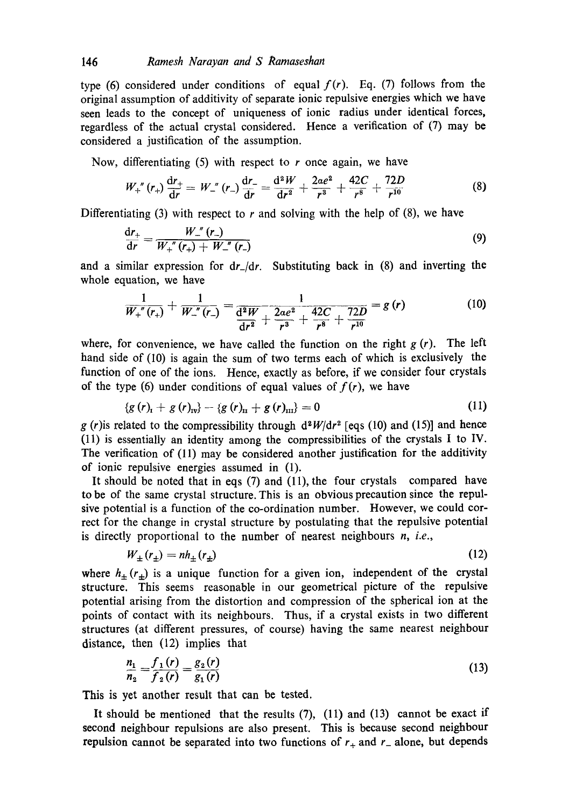type (6) considered under conditions of equal  $f(r)$ . Eq. (7) follows from the original assumption of additivity of separate ionic repulsive energies which we have seen leads to the concept of uniqueness of ionic radius under identical forces, regardless of the actual crystal considered. Hence a verification of (7) may be considered a justification of the assumption.

Now, differentiating  $(5)$  with respect to r once again, we have

$$
W_{+}^{''}(r_{+})\frac{dr_{+}}{dr}=W_{-}^{''}(r_{-})\frac{dr_{-}}{dr}=\frac{d^{2}W}{dr^{2}}+\frac{2ae^{2}}{r^{3}}+\frac{42C}{r^{8}}+\frac{72D}{r^{10}}\tag{8}
$$

Differentiating (3) with respect to  $r$  and solving with the help of (8), we have

$$
\frac{dr_{+}}{dr} = \frac{W_{-}^{''}(r_{-})}{W_{+}^{''}(r_{+}) + W_{-}^{''}(r_{-})}
$$
(9)

and a similar expression for *dr\_/dr.* Substituting back in (8) and inverting the whole equation, we have

$$
\frac{1}{W_{+}^{''}(r_{+})} + \frac{1}{W_{-}^{''}(r_{-})} = \frac{1}{\frac{d^{2}W}{dr^{2}} + \frac{2ae^{2}}{r^{3}} + \frac{42C}{r^{8}} + \frac{72D}{r^{10}}} = g(r)
$$
(10)

where, for convenience, we have called the function on the right  $g(r)$ . The left hand side of (10) is again the sum of two terms each of which is exclusively the function of one of the ions. Hence, exactly as before, if we consider four crystals of the type (6) under conditions of equal values of  $f(r)$ , we have

$$
\{g(r)_{\rm r}+g(r)_{\rm rv}\}-\{g(r)_{\rm r}+g(r)_{\rm m}\}=0\tag{11}
$$

g (r) is related to the compressibility through  $d^2W/dr^2$  [eqs (10) and (15)] and hence (11) is essentially an identity among the compressibilities of the crystals I to IV. The verification of (11) may be considered another justification for the additivity of ionic repulsive energies assumed in (1).

It should be noted that in eqs (7) and (11), the four crystals compared have to be of the same crystal structure. This is an obvious precaution since the repulsive potential is a function of the co-ordination number. However, we could correct for the change in crystal structure by postulating that the repulsive potential is directly proportional to the number of nearest neighbours *n, i.e.,* 

$$
W_{\pm}(r_{\pm}) = nh_{\pm}(r_{\pm})
$$
\n<sup>(12)</sup>

where  $h_{\pm}(r_{\pm})$  is a unique function for a given ion, independent of the crystal structure. This seems reasonable in our geometrical picture of the repulsive potential arising from the distortion and compression of the spherical ion at the points of contact with its neighbours. Thus, if a crystal exists in two different structures (at different pressures, of course) having the same nearest neighbour distance, then (12) implies that

$$
\frac{n_1}{n_2} = \frac{f_1(r)}{f_2(r)} = \frac{g_2(r)}{g_1(r)}\tag{13}
$$

This is yet another result that can be tested.

It should be mentioned that the results  $(7)$ ,  $(11)$  and  $(13)$  cannot be exact if second neighbour repulsions are also present. This is because second neighbour repulsion cannot be separated into two functions of  $r_{+}$  and  $r_{-}$  alone, but depends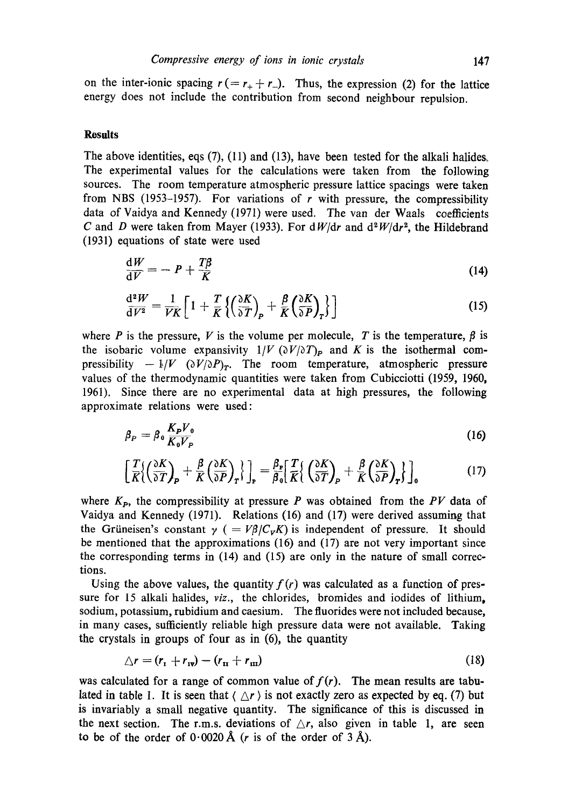on the inter-ionic spacing  $r = r_+ + r_-$ ). Thus, the expression (2) for the lattice energy does not include the contribution from second neighbour repulsion.

### **Results**

The above identities, eqs  $(7)$ ,  $(11)$  and  $(13)$ , have been tested for the alkali halides. The experimental values for the calculations were taken from the following sources. The room temperature atmospheric pressure lattice spacings were taken from NBS (1953-1957). For variations of  $r$  with pressure, the compressibility data of Vaidya and Kennedy (1971) were used. The van der Waals coefficients C and D were taken from Mayer (1933). For  $dW/dr$  and  $d^2W/dr^2$ , the Hildebrand (1931) equations of state were used

$$
\frac{\mathrm{d}W}{\mathrm{d}V} = -P + \frac{T\beta}{K} \tag{14}
$$

$$
\frac{\mathrm{d}^{2}W}{\mathrm{d}V^{2}} = \frac{1}{V\bar{K}} \left[ 1 + \frac{T}{\bar{K}} \left\{ \left( \frac{\partial K}{\partial T} \right)_{\mathbf{P}} + \frac{\beta}{\bar{K}} \left( \frac{\partial K}{\partial P} \right)_{\mathbf{T}} \right\} \right] \tag{15}
$$

where P is the pressure, V is the volume per molecule, T is the temperature,  $\beta$  is the isobaric volume expansivity  $1/V$  ( $\partial V/\partial T$ )<sub>P</sub> and K is the isothermal compressibility  $-1/V \left(\frac{\partial V}{\partial P}\right)_T$ . The room temperature, atmospheric pressure values of the thermodynamic quantities were taken from Cubicciotti (1959, 1960, 1961). Since there are no experimental data at high pressures, the following approximate relations were used:

$$
\beta_P = \beta_0 \frac{K_P V_0}{K_0 V_P} \tag{16}
$$

$$
\left[\frac{T}{K}\left(\frac{\partial K}{\partial T}\right)_{P} + \frac{\beta}{K}\left(\frac{\partial K}{\partial P}\right)_{T}\right]_{P} = \frac{\beta_{P}}{\beta_{0}}\left[\frac{T}{K}\left(\frac{\partial K}{\partial T}\right)_{P} + \frac{\beta}{K}\left(\frac{\partial K}{\partial P}\right)_{T}\right]_{0}
$$
(17)

where  $K_{p}$ , the compressibility at pressure P was obtained from the PV data of Vaidya and Kennedy (1971). Relations (16) and (17) were derived assuming that the Grüneisen's constant  $\gamma$  ( $= V\beta/C_{V}K$ ) is independent of pressure. It should be mentioned that the approximations (16) and (17) are not very important since the corresponding terms in (14) and (15) are only in the nature of small corrections.

Using the above values, the quantity  $f(r)$  was calculated as a function of pressure for 15 alkali halides, *viz.*, the chlorides, bromides and iodides of lithium, sodium, potassium, rubidium and caesium. The fluorides were not included because, in many cases, sufficiently reliable high pressure data were not available. Taking the crystals in groups of four as in (6), the quantity

$$
\Delta r = (r_{\rm r} + r_{\rm rv}) - (r_{\rm tr} + r_{\rm m}) \tag{18}
$$

was calculated for a range of common value of  $f(r)$ . The mean results are tabulated in table 1. It is seen that  $\langle \Delta r \rangle$  is not exactly zero as expected by eq. (7) but is invariably a small negative quantity. The significance of this is discussed in the next section. The r.m.s. deviations of  $\Delta r$ , also given in table 1, are seen to be of the order of  $0.0020~\text{\AA}$  (*r* is of the order of 3  $\text{\AA}$ ).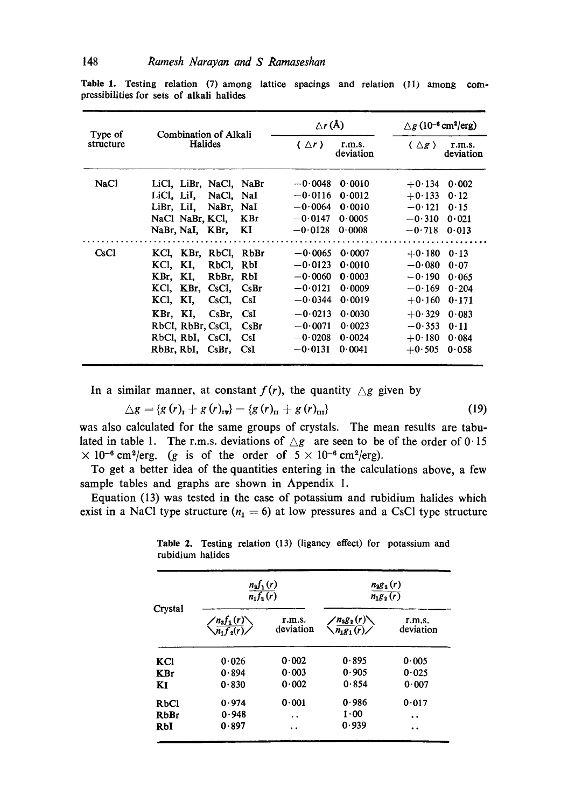| Type of     | Combination of Alkali                                                                                                                                                                                                                                 | $\Delta r(A)$                                                                                                                                                                                               | $\triangle$ g (10 <sup>-6</sup> cm <sup>2</sup> /erg)                                                                                                                                  |
|-------------|-------------------------------------------------------------------------------------------------------------------------------------------------------------------------------------------------------------------------------------------------------|-------------------------------------------------------------------------------------------------------------------------------------------------------------------------------------------------------------|----------------------------------------------------------------------------------------------------------------------------------------------------------------------------------------|
| structure   | <b>Halides</b>                                                                                                                                                                                                                                        | { ∆r }<br>r.m.s.<br>deviation                                                                                                                                                                               | $\langle \Delta \mathbf{r} \rangle$<br>r.m.s.<br>deviation                                                                                                                             |
| <b>NaCl</b> | LiCl, LiBr, NaCl, NaBr<br>LiCl. LiI. NaCl. NaI<br>LiBr, LiI,<br>NaBr, NaI<br>NaCl NaBr, KCl,<br><b>KBr</b><br>NaBr, NaI, KBr,<br>KI)                                                                                                                  | $-0.0048$<br>0.0010<br>$-0.0116$<br>0.0012<br>$-0.0064$<br>0.0010<br>$-0.0147$<br>0.0005<br>$-0.0128$<br>0.0008                                                                                             | $+0.134$<br>0.002<br>$+0.133$<br>0.12<br>$-0.121$<br>0.15<br>$-0.310$<br>0.021<br>$-0.718$<br>0.013                                                                                    |
| CsC1        | KCl. KBr, RbCl. RbBr<br>KCI, KI,<br>RbCl.<br>RbI<br>KBr. KI.<br>RbBr. RbI<br>KCl, KBr, CsCl,<br>CsBr<br>KI.<br>KCI.<br>CsCl,<br>CsI<br>KBr, KI,<br>CsI<br>$CsBr$ ,<br>RbCl, RbBr, CsCl,<br>CsBr<br>RbCl, RbI, CsCl,<br>CsI<br>RbBr, RbI, CsBr,<br>CsI | $-0.0065$<br>0.0007<br>$-0.0123$<br>0.0010<br>$-0.0060$<br>0.0003<br>$-0.0121$<br>0.0009<br>$-0.0344$<br>0.0019<br>$-0.0213$<br>0.0030<br>$-0.0071$<br>0.0023<br>$-0.0208$<br>0.0024<br>$-0.0131$<br>0.0041 | $+0.180$<br>0.13<br>$-0.080$<br>0.07<br>$-0.190$<br>0.065<br>$-0.169$<br>0.204<br>$+0.160$<br>0.171<br>$+0.329$<br>0.083<br>$-0.353$<br>0.11<br>$+0.180$<br>0.084<br>$+0.505$<br>0.058 |

Table 1. Testing relation (7) among lattice spacings and relation (11) among compressibilities for sets of alkali halides

In a similar manner, at constant  $f(r)$ , the quantity  $\triangle g$  given by

$$
\triangle g = \{g(r)_t + g(r)_{\rm{IV}}\} - \{g(r)_{\rm{II}} + g(r)_{\rm{III}}\}\tag{19}
$$

was also calculated for the same groups of crystals. The mean results are tabulated in table 1. The r.m.s. deviations of  $\triangle g$  are seen to be of the order of 0.15  $\times$  10<sup>-6</sup> cm<sup>2</sup>/erg. (g is of the order of  $5 \times 10^{-6}$  cm<sup>2</sup>/erg).

To get a better idea of the quantities entering in the calculations above, a few sample tables and graphs are shown in Appendix 1.

Equation (13) was tested in the case of potassium and rubidium halides which exist in a NaCl type structure ( $n_1 = 6$ ) at low pressures and a CsCl type structure

|            | $\frac{n_2f_1(r)}{n_1f_2(r)}$                              |                     | $n_2 g_2(r)$<br>$n_1g_2(r)$                                |                      |
|------------|------------------------------------------------------------|---------------------|------------------------------------------------------------|----------------------|
| Crystal    | $\left\langle \frac{n_2 f_1(r)}{n_1 f_2(r)} \right\rangle$ | r.m.s.<br>deviation | $\left\langle \frac{n_2 g_2(r)}{n_1 g_1(r)} \right\rangle$ | r.m.s.<br>deviation  |
| KCI        | 0.026                                                      | 0.002               | 0.895                                                      | 0.005                |
| <b>KBr</b> | 0.894                                                      | 0.003               | 0.905                                                      | 0.025                |
| KI         | 0.830                                                      | 0.002               | 0.854                                                      | 0.007                |
| RbCl       | 0.974                                                      | 0.001               | 0.986                                                      | 0.017                |
| RbBr       | 0.948                                                      | . .                 | 1.00                                                       | $\ddot{\phantom{0}}$ |
| RbI        | 0.897                                                      | . .                 | 0.939                                                      | . .                  |

**Table** 2. Testing relation (13) (ligancy effect) for potassium and rubidium halides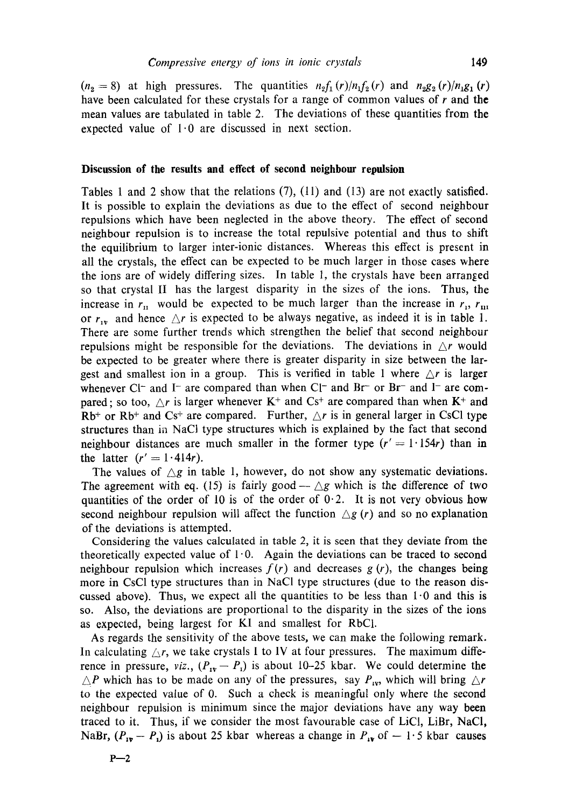$(n_2 = 8)$  at high pressures. The quantities  $n_2 f_1(r)/n_1 f_2(r)$  and  $n_2 g_2(r)/n_1 g_1(r)$ have been calculated for these crystals for a range of common values of  $r$  and the mean values are tabulated in table 2. The deviations of these quantities from the expected value of  $1.0$  are discussed in next section.

### **Discussion of the results and effect of second neighbour repulsion**

Tables 1 and 2 show that the relations  $(7)$ ,  $(11)$  and  $(13)$  are not exactly satisfied. It is possible to explain the deviations as due to the effect of second neighbour repulsions which have been neglected in the above theory. The effect of second neighbour repulsion is to increase the total repulsive potential and thus to shift the equilibrium to larger inter-ionic distances. Whereas this effect is present in all the crystals, the effect can be expected to be much larger in those cases where the ions are of widely differing sizes. In table 1, the crystals have been arranged so that crystal II has the largest disparity in the sizes of the ions. Thus, the increase in  $r_{\rm n}$  would be expected to be much larger than the increase in  $r_{\rm n}$ ,  $r_{\rm m}$ or  $r_{1v}$  and hence  $\Delta r$  is expected to be always negative, as indeed it is in table 1. There are some further trends which strengthen the belief that second neighbour repulsions might be responsible for the deviations. The deviations in  $\Delta r$  would be expected to be greater where there is greater disparity in size between the largest and smallest ion in a group. This is verified in table 1 where  $\Delta r$  is larger whenever Cl<sup>-</sup> and I<sup>-</sup> are compared than when Cl<sup>-</sup> and Br<sup>-</sup> or Br<sup>-</sup> and I<sup>-</sup> are compared; so too,  $\Delta r$  is larger whenever K<sup>+</sup> and Cs<sup>+</sup> are compared than when K<sup>+</sup> and  $Rb<sup>+</sup>$  or  $Rb<sup>+</sup>$  and  $Cs<sup>+</sup>$  are compared. Further,  $\triangle r$  is in general larger in CsCl type structures than in NaCl type structures which is explained by the fact that second neighbour distances are much smaller in the former type  $(r' = 1.154r)$  than in the latter  $(r' = 1.414r)$ .

The values of  $\triangle g$  in table 1, however, do not show any systematic deviations. The agreement with eq. (15) is fairly good  $-\triangle g$  which is the difference of two quantities of the order of 10 is of the order of  $0.2$ . It is not very obvious how second neighbour repulsion will affect the function  $\Delta g$  (r) and so no explanation of the deviations is attempted.

Considering the values calculated in table 2, it is seen that they deviate from the theoretically expected value of  $1.0$ . Again the deviations can be traced to second neighbour repulsion which increases  $f(r)$  and decreases  $g(r)$ , the changes being more in CsC1 type structures than in NaC1 type structures (due to the reason discussed above). Thus, we expect all the quantities to be less than  $1.0$  and this is so. Also, the deviations are proportional to the disparity in the sizes of the ions as expected, being largest for KI and smallest for RbCI.

As regards the sensitivity of the above tests, we can make the following remark. In calculating  $\triangle r$ , we take crystals I to IV at four pressures. The maximum difference in pressure, *viz.*,  $(P_{1v} - P_1)$  is about 10-25 kbar. We could determine the  $\triangle P$  which has to be made on any of the pressures, say  $P_{xy}$ , which will bring  $\triangle r$ to the expected value of 0. Such a check is meaningful only where the second neighbour repulsion is minimum since the major deviations have any way been traced to it. Thus, if we consider the most favourable case of LiCI, LiBr, NaCI, NaBr,  $(P_{1v} - P_i)$  is about 25 kbar whereas a change in  $P_{iv}$  of  $-1.5$  kbar causes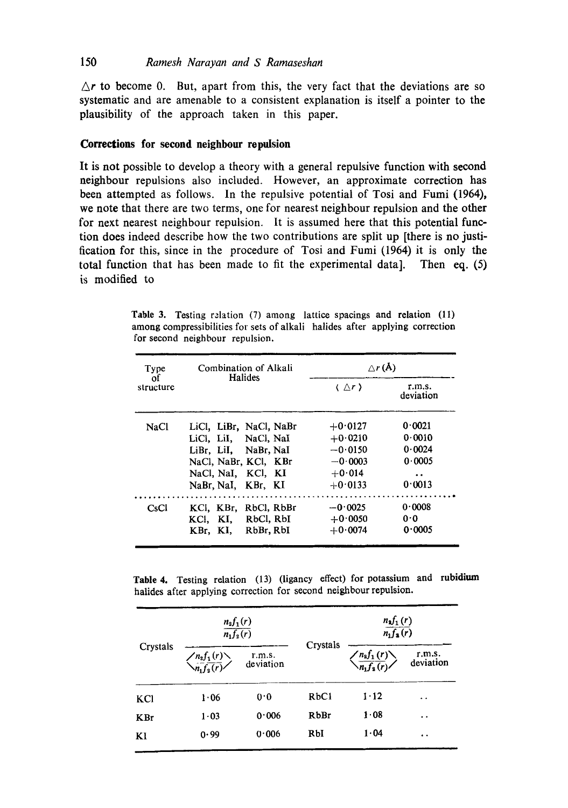# 150 *Ramesh Narayan and S Ramaseshan*

 $\Delta r$  to become 0. But, apart from this, the very fact that the deviations are so systematic and are amenable to a consistent explanation is itself a pointer to the plausibility of the approach taken in this paper.

# **Corrections for second neighbour repulsion**

It is not possible to develop a theory with a general repulsive function with second neighbour repulsions also included. However, an approximate correction has been attempted as follows. In the repulsive potential of Tosi and Fumi (1964), we note that there are two terms, one for nearest neighbour repulsion and the other for next nearest neighbour repulsion. It is assumed here that this potential function does indeed describe how the two contributions are split up [there is no justification for this, since in the procedure of Tosi and Fumi (1964) it is only the total function that has been made to fit the experimental data]. Then eq. (5) is modified to

Table 3. Testing relation (7) among lattice spacings and relation (11) among compressibilities for sets of alkali halides after applying correction for second neighbour repulsion.

| Type            | Combination of Alkali   |                            | $\triangle r(A)$    |  |
|-----------------|-------------------------|----------------------------|---------------------|--|
| οf<br>structure | Halides                 | $\langle \Delta r \rangle$ | r.m.s.<br>deviation |  |
| NaCl            | LiCl, LiBr, NaCl, NaBr  | $+0.0127$                  | 0.0021              |  |
|                 | LiCl. LiI, NaCl. NaI    | $+0.0210$                  | 0.0010              |  |
|                 | LiBr. LiI. NaBr. NaI    | $-0.0150$                  | 0.0024              |  |
|                 | NaCl. NaBr. KCl. KBr    | $-0.0003$                  | 0.0005              |  |
|                 | NaCl, NaI, KCl, KI      | $+0.014$                   | $\bullet$           |  |
|                 | NaBr, NaI, KBr, KI      | $+0.0133$                  | 0.0013              |  |
| CsCl            | RbCl, RbBr<br>KCI. KBr. | $-0.0025$                  | 0.0008              |  |
|                 | RbCl, RbI<br>KCI. KI.   | $+0.0050$                  | 0.0                 |  |
|                 | RbBr, RbI<br>KBr. KI.   | $+0.0074$                  | 0.0005              |  |

**Table** 4, Testing relation (13) (ligancy effect) for potassium and rubidium halides after applying correction for second neighbour repulsion.

|            | $\frac{n_2f_1(r)}{n_1f_2(r)}$                            |                     |             | $\frac{n_{\mathbf{a}}f_1(r)}{n_{\mathbf{1}}f_{\mathbf{a}}(r)}$             |                      |
|------------|----------------------------------------------------------|---------------------|-------------|----------------------------------------------------------------------------|----------------------|
| Crystals   | $\left\langle n_2 f_1(r) \atop n_1 f_2(r) \right\rangle$ | r.m.s.<br>deviation | Crystals    | $\left\langle \frac{n_{\rm s}f_1(r)}{n_{\rm t}f_{\rm s}(r)} \right\rangle$ | r.m.s.<br>deviation  |
| KCI        | 1.06                                                     | 0.0                 | RbC1        | $1 - 12$                                                                   | $\ddot{\phantom{1}}$ |
| <b>KBr</b> | $1 - 03$                                                 | 0.006               | <b>RbBr</b> | 1.08                                                                       | . .                  |
| K1         | 0.99                                                     | 0.006               | RbI         | 1.04                                                                       | $\cdot$              |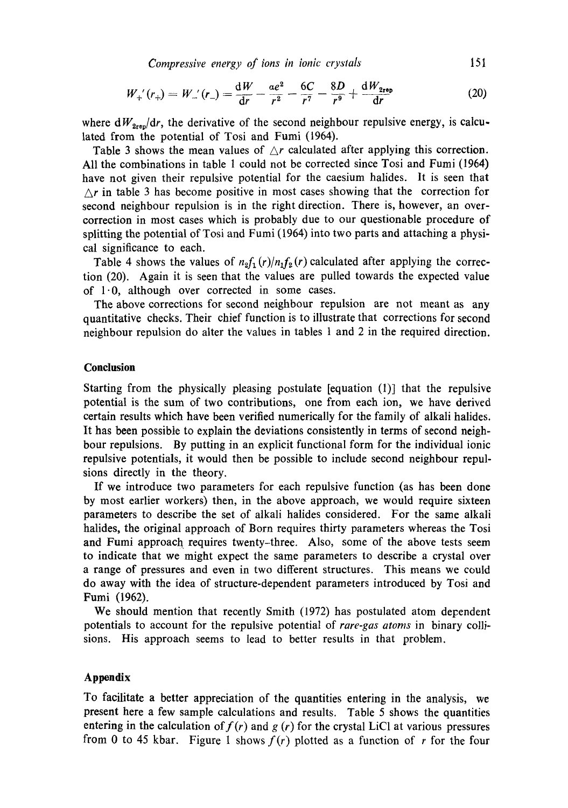*Compressive energy of ions in ionic crystals* 151

$$
W_{+}'(r_{+}) = W_{-}'(r_{-}) = \frac{\mathrm{d}W}{\mathrm{d}r} - \frac{ae^{2}}{r^{2}} - \frac{6C}{r^{7}} - \frac{8D}{r^{9}} + \frac{\mathrm{d}W_{2\mathrm{reb}}}{\mathrm{d}r}
$$
(20)

where  $dW_{2\text{re}}/dr$ , the derivative of the second neighbour repulsive energy, is calculated from the potential of Tosi and Fumi (1964).

Table 3 shows the mean values of  $\Delta r$  calculated after applying this correction. All the combinations in table 1 could not be corrected since Tosi and Fumi (1964) have not given their repulsive potential for the caesium halides. It is seen that  $\Delta r$  in table 3 has become positive in most cases showing that the correction for second neighbour repulsion is in the right direction. There is, however, an overcorrection in most cases which is probably due to our questionable procedure of splitting the potential of Tosi and Fumi (1964) into two parts and attaching a physical significance to each.

Table 4 shows the values of  $n_2f_1(r)/n_1f_2(r)$  calculated after applying the correction (20). Again it is seen that the values are pulled towards the expected value of  $1 \cdot 0$ , although over corrected in some cases.

The above corrections for second neighbour repulsion are not meant as any quantitative checks. Their chief function is to illustrate that corrections for second neighbour repulsion do alter the values in tables 1 and 2 in the required direction.

### **Conclusion**

Starting from the physically pleasing postulate [equation (1)] that the repulsive potential is the sum of two contributions, one from each ion, we have derived certain results which have been verified numerically for the family of alkali halides. It has been possible to explain the deviations consistently in terms of second neighbour repulsions. By putting in an explicit functional form for the individual ionic repulsive potentials, it would then be possible to include second neighbour repulsions directly in the theory.

If we introduce two parameters for each repulsive function (as has been done by most earlier workers) then, in the above approach, we would require sixteen parameters to describe the set of alkali halides considered. For the same alkali halides, the original approach of Born requires thirty parameters whereas the Tosi and Fumi approach requires twenty-three. Also, some of the above tests seem to indicate that we might expect the same parameters to describe a crystal over a range of pressures and even in two different structures. This means we could do away with the idea of structure-dependent parameters introduced by Tosi and Fumi (1962).

We should mention that recently Smith (1972) has postulated atom dependent potentials to account for the repulsive potential of *rare-gas atoms* in binary collisions. His approach seems to lead to better results in that problem.

# **Appendix**

To facilitate a better appreciation of the quantities entering in the analysis, we present here a few sample calculations and results. Table 5 shows the quantities entering in the calculation of  $f(r)$  and  $g(r)$  for the crystal LiCl at various pressures from 0 to 45 kbar. Figure 1 shows  $f(r)$  plotted as a function of r for the four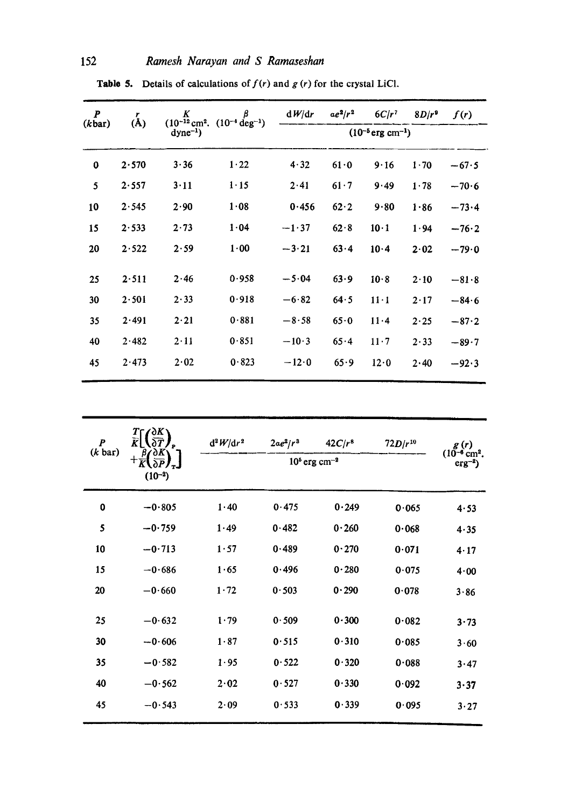| $\boldsymbol{P}$ | r<br>(A) | $K$ $\beta$<br>(10 <sup>-12</sup> cm <sup>2</sup> . (10 <sup>-4</sup> deg <sup>-1</sup> ) |          | dW/dr   | $ae^2/r^2$ | $6C/r^2$                          | $8D/r^9$ | f(r)    |
|------------------|----------|-------------------------------------------------------------------------------------------|----------|---------|------------|-----------------------------------|----------|---------|
| (kbar)           |          | $dyne^{-1}$                                                                               |          |         |            | $(10^{-5}$ erg cm <sup>-1</sup> ) |          |         |
| 0                | 2.570    | $3 - 36$                                                                                  | 1.22     | 4.32    | 61.0       | 9.16                              | 1.70     | $-67.5$ |
| 5                | 2.557    | 3.11                                                                                      | $1 - 15$ | 2.41    | 61.7       | 9.49                              | 1.78     | $-70.6$ |
| 10               | 2.545    | 2.90                                                                                      | 1.08     | 0.456   | 62.2       | 9.80                              | 1.86     | $-73.4$ |
| 15               | 2.533    | 2.73                                                                                      | 1.04     | $-1.37$ | 62.8       | $10 \cdot 1$                      | 1.94     | $-76.2$ |
| 20               | 2.522    | 2.59                                                                                      | 1.00     | $-3.21$ | 63.4       | 10.4                              | 2.02     | $-79.0$ |
| 25               | 2.511    | 2.46                                                                                      | 0.958    | $-5.04$ | 63.9       | 10.8                              | 2.10     | $-81.8$ |
| 30               | 2.501    | 2.33                                                                                      | 0.918    | $-6.82$ | 64.5       | $11 \cdot 1$                      | 2.17     | $-84.6$ |
| 35               | 2.491    | 2.21                                                                                      | 0.881    | $-8.58$ | 65.0       | 11.4                              | 2.25     | $-87.2$ |
| 40               | 2.482    | $2 \cdot 11$                                                                              | 0.851    | $-10.3$ | 65.4       | $11 \cdot 7$                      | 2.33     | $-89.7$ |
| 45               | 2.473    | 2.02                                                                                      | 0.823    | $-12.0$ | 65.9       | 12.0                              | 2.40     | $-92.3$ |
|                  |          |                                                                                           |          |         |            |                                   |          |         |

Table 5. Details of calculations of  $f(r)$  and  $g(r)$  for the crystal LiCl.

| $\boldsymbol{P}$<br>$(k \text{ bar})$ | $\frac{T}{\widetilde{K}}\left(\frac{\partial K}{\partial T}\right)$<br>$+\frac{\beta}{K}\left(\frac{\partial K}{\partial P}\right)_T$<br>$(10^{-2})$ | $d^2W/dr^2$ | $2\alpha e^2/r^3$ | $42C/r^8$<br>$105$ erg cm <sup>-2</sup> | $72D/r^{10}$ | g(r)<br>$(10^{-6}$ cm <sup>2</sup> .<br>$\text{erg}^{-2}$ ) |
|---------------------------------------|------------------------------------------------------------------------------------------------------------------------------------------------------|-------------|-------------------|-----------------------------------------|--------------|-------------------------------------------------------------|
| 0                                     | $-0.805$                                                                                                                                             | 1.40        | 0.475             | 0.249                                   | 0.065        | 4.53                                                        |
| 5                                     | $-0.759$                                                                                                                                             | 1.49        | 0.482             | 0.260                                   | 0.068        | 4.35                                                        |
| 10                                    | $-0.713$                                                                                                                                             | 1.57        | 0.489             | 0.270                                   | 0.071        | 4.17                                                        |
| 15                                    | $-0.686$                                                                                                                                             | 1.65        | 0.496             | 0.280                                   | 0.075        | 4.00                                                        |
| 20                                    | $-0.660$                                                                                                                                             | 1.72        | 0.503             | 0.290                                   | 0.078        | 3.86                                                        |
| 25                                    | $-0.632$                                                                                                                                             | 1.79        | 0.509             | 0.300                                   | 0.082        | $3 - 73$                                                    |
| 30                                    | $-0.606$                                                                                                                                             | 1.87        | 0.515             | 0.310                                   | 0.085        | 3.60                                                        |
| 35                                    | $-0.582$                                                                                                                                             | 1.95        | 0.522             | 0.320                                   | 0.088        | 3.47                                                        |
| 40                                    | $-0.562$                                                                                                                                             | 2.02        | 0.527             | 0.330                                   | 0.092        | 3.37                                                        |
| 45                                    | $-0.543$                                                                                                                                             | 2.09        | 0.533             | 0.339                                   | 0.095        | 3.27                                                        |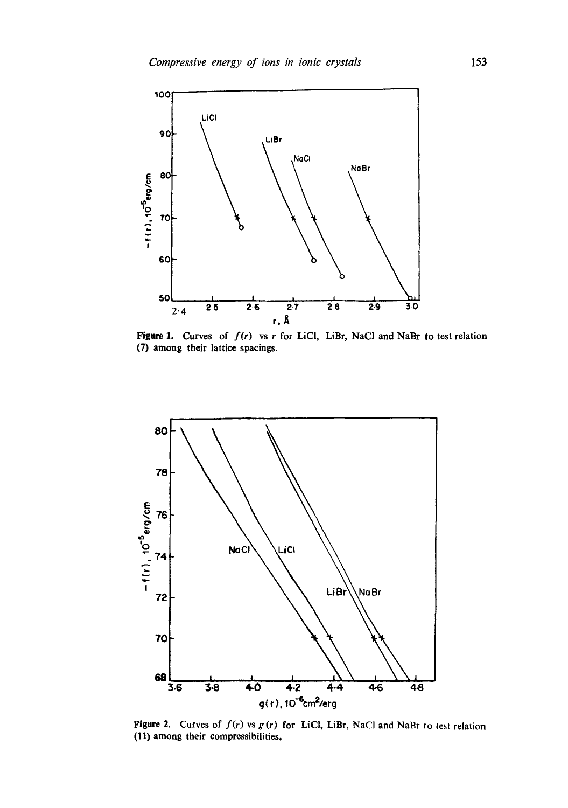

Figure 1. Curves of  $f(r)$  vs r for LiCl, LiBr, NaCl and NaBr to test relation (7) among their lattice spacings.



Figure 2. Curves of  $f(r)$  vs  $g(r)$  for LiCl, LiBr, NaCl and NaBr to test relation (11) among their compressibilities,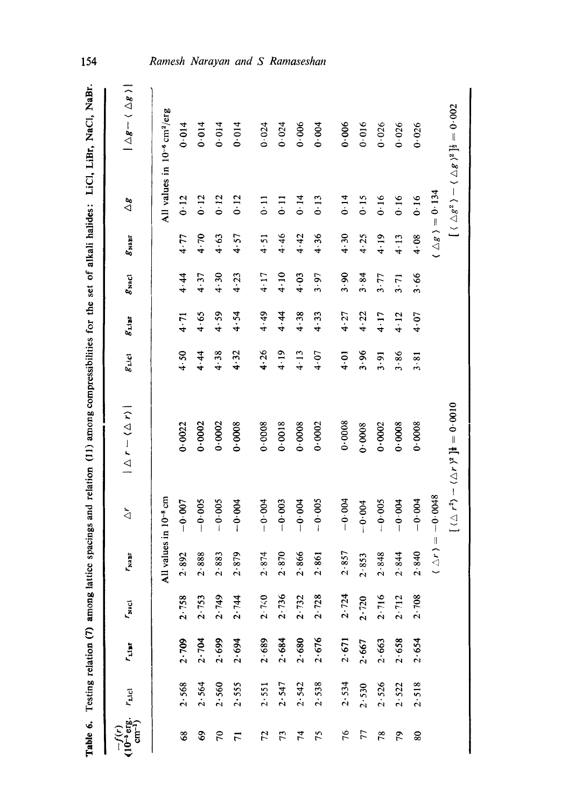| Table 6.                                        |                 | Testing relation (7) among lattice |                |                                           |                                   | spacings and relation (11) among compressibilities for the set of alkali halides: LiCl, LiBr, NaCl, NaBr. |                |               |                |                                  |                                                     |                                                                                                            | 154                             |
|-------------------------------------------------|-----------------|------------------------------------|----------------|-------------------------------------------|-----------------------------------|-----------------------------------------------------------------------------------------------------------|----------------|---------------|----------------|----------------------------------|-----------------------------------------------------|------------------------------------------------------------------------------------------------------------|---------------------------------|
| $\overline{10^{-6}}$ erg.<br>cm <sup>-1</sup> ) | $r_{\rm{nlcl}}$ | $r_{\rm diff}$                     | $r_{\rm vaci}$ | 'n<br>$\mathbf{r}^2$                      | $\Delta$                          | $1 \triangle r - (\triangle r)$                                                                           | $g_{\rm inel}$ | $g_{\rm thr}$ | $g_{\rm NaCl}$ | $g_{\rm \scriptscriptstyle NBF}$ | $\Delta g$                                          | $ \triangle g-\langle \triangle g \rangle $                                                                |                                 |
|                                                 |                 |                                    |                |                                           | All values in 10 <sup>-8</sup> cm |                                                                                                           |                |               |                |                                  | All values in 10 <sup>-6</sup> cm <sup>2</sup> /erg |                                                                                                            |                                 |
| 89                                              | 2.568           | 2.709                              | 2.758          | 2.892                                     | $-0.007$                          | 0.0022                                                                                                    | 4.50           | 4.71          | 4.44           | 4.77                             | 0.12                                                | 0.014                                                                                                      |                                 |
| \$                                              | 2.564           | 2.704                              | 2.753          | 2.888                                     | $-0.005$                          | 0.0002                                                                                                    | 4.44           | 4.65          | 4.37           | 4.70                             | 0.12                                                | 0.014                                                                                                      |                                 |
| $\mathcal{L}$                                   | 2.560           | 2.699                              | 2.749          | 2.883                                     | $-0.005$                          | 0.0002                                                                                                    | 4.38           | 4.59          | 4.30           | 4.63                             | $0 - 12$                                            | 0.014                                                                                                      |                                 |
| $\overline{r}$                                  | 2.555           | 2.694                              | 2.744          | 2.879                                     | $-0.004$                          | 0.0008                                                                                                    | 4.32           | 4.54          | 4.23           | 4.57                             | 0.12                                                | 0.014                                                                                                      | Ramesh Narayan and S Ramaseshan |
| 72                                              | 2.551           | 2.689                              | 2.740          | 2.874                                     | $-0.004$                          | 0.0008                                                                                                    | 4.26           | 4.49          | 4.17           | 4.51                             | $\overline{0}$                                      | 0.024                                                                                                      |                                 |
| 73                                              | 2.547           | 2.684                              | 2.736          | 2.870                                     | $-0.003$                          | 0.0018                                                                                                    | 4.19           | 4.44          | 4.10           | 4.46                             | 0.11                                                | 0.024                                                                                                      |                                 |
| 74                                              | 2.542           | 2.680                              | 2.732          | 2.866                                     | $-0.004$                          | 0.0008                                                                                                    | $4 - 13$       | 4.38          | 4.03           | 4.42                             | 0.14                                                | 0.006                                                                                                      |                                 |
| 75                                              | 2.538           | 2.676                              | 2.728          | $\overline{5}$<br>2.86                    | $-0.005$                          | 0.0002                                                                                                    | 4.07           | 4.33          | 3.97           | 4.36                             | 0.13                                                | 0.004                                                                                                      |                                 |
| 76                                              | 2.534           | 2.671                              | 2.724          | 2.857                                     | $-0.004$                          | 0.0008                                                                                                    | 10.4           | 4.27          | 3.90           | 4.30                             | 0.14                                                | 0.006                                                                                                      |                                 |
| 77                                              | 2.530           | 2.667                              | 2.720          | 2.853                                     | $-0.004$                          | 0.0008                                                                                                    | 3.96           | 4.22          | 3.84           | 4.25                             | 0.15                                                | 0.016                                                                                                      |                                 |
| 78                                              | 2.526           | 2.663                              | 2.716          | 2.848                                     | $-0.005$                          | 0.0002                                                                                                    | 3.91           | 4.17          | 3.77           | 4.19                             | 0.16                                                | 0.026                                                                                                      |                                 |
| 79                                              | 2.522           | 2.658                              | 2.712          | 2.844                                     | $-0.004$                          | 0.0008                                                                                                    | 3.86           | 4.12          | 3.71           | 4.13                             | 0.16                                                | 0.026                                                                                                      |                                 |
| 80                                              | 2.518           | 2.654                              | 2.708          | ₽,<br>2.84                                | $-0.004$                          | 0.0008                                                                                                    | 3.81           | 4.07          | 3.66           | 4.08                             | 0.16                                                | 0.026                                                                                                      |                                 |
|                                                 |                 |                                    |                | $\frac{1}{2}$<br>$\overline{\phantom{a}}$ | $-0.0048$                         |                                                                                                           |                |               |                |                                  | $( \triangle g ) = 0.134$                           |                                                                                                            |                                 |
|                                                 |                 |                                    |                |                                           |                                   | $[(\triangle r^2) - (\triangle r)^2]$ <b>i</b> = 0.0010                                                   |                |               |                |                                  |                                                     | $\left[\;\langle\;\triangle g^2\;\rangle-\langle\;\triangle g\;\rangle^2\;\right]\!\!$ is $=0\!\cdot\!002$ |                                 |

# Ramesh Narayan and S Ramaseshan